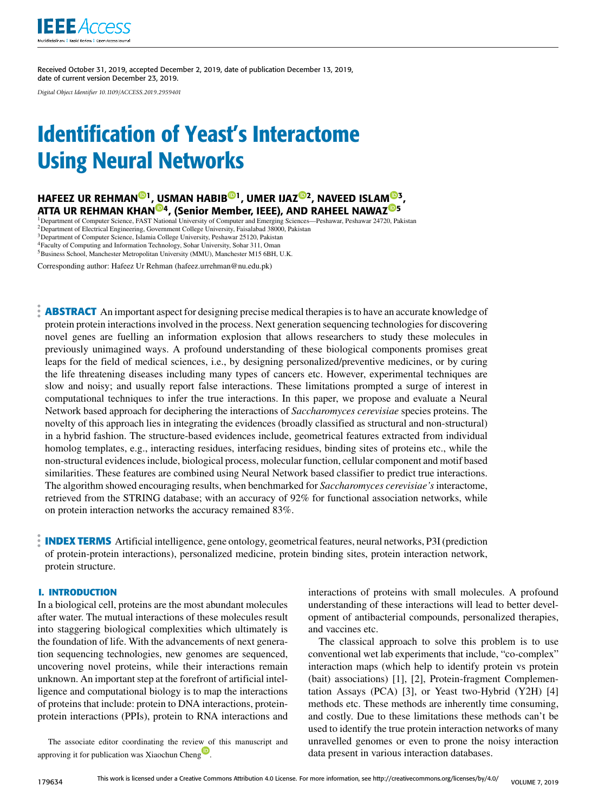

Received October 31, 2019, accepted December 2, 2019, date of publication December 13, 2019, date of current version December 23, 2019.

*Digital Object Identifier 10.1109/ACCESS.2019.2959401*

# Identification of Yeast's Interactome Using Neural Networks

# HAFEEZ UR REHMAN<sup>®1</sup>, USMAN HABIB<sup>®1</sup>, UMER IJAZ<sup>®2</sup>, NAVEED ISLAM<sup>®3</sup>, ATTA UR REHMAN KHAN<sup>@4</sup>, (Senior Member, IEEE), AND RAHEEL NAWAZ<sup>@5</sup>

<sup>1</sup>Department of Computer Science, FAST National University of Computer and Emerging Sciences—Peshawar, Peshawar 24720, Pakistan <sup>2</sup>Department of Electrical Engineering, Government College University, Faisalabad 38000, Pakistan <sup>3</sup>Department of Computer Science, Islamia College University, Peshawar 25120, Pakistan <sup>4</sup>Faculty of Computing and Information Technology, Sohar University, Sohar 311, Oman <sup>5</sup>Business School, Manchester Metropolitan University (MMU), Manchester M15 6BH, U.K.

Corresponding author: Hafeez Ur Rehman (hafeez.urrehman@nu.edu.pk)

**ABSTRACT** An important aspect for designing precise medical therapies is to have an accurate knowledge of protein protein interactions involved in the process. Next generation sequencing technologies for discovering novel genes are fuelling an information explosion that allows researchers to study these molecules in previously unimagined ways. A profound understanding of these biological components promises great leaps for the field of medical sciences, i.e., by designing personalized/preventive medicines, or by curing the life threatening diseases including many types of cancers etc. However, experimental techniques are slow and noisy; and usually report false interactions. These limitations prompted a surge of interest in computational techniques to infer the true interactions. In this paper, we propose and evaluate a Neural Network based approach for deciphering the interactions of *Saccharomyces cerevisiae* species proteins. The novelty of this approach lies in integrating the evidences (broadly classified as structural and non-structural) in a hybrid fashion. The structure-based evidences include, geometrical features extracted from individual homolog templates, e.g., interacting residues, interfacing residues, binding sites of proteins etc., while the non-structural evidences include, biological process, molecular function, cellular component and motif based similarities. These features are combined using Neural Network based classifier to predict true interactions. The algorithm showed encouraging results, when benchmarked for *Saccharomyces cerevisiae's* interactome, retrieved from the STRING database; with an accuracy of 92% for functional association networks, while on protein interaction networks the accuracy remained 83%.

**INDEX TERMS** Artificial intelligence, gene ontology, geometrical features, neural networks, P3I (prediction of protein-protein interactions), personalized medicine, protein binding sites, protein interaction network, protein structure.

# **I. INTRODUCTION**

In a biological cell, proteins are the most abundant molecules after water. The mutual interactions of these molecules result into staggering biological complexities which ultimately is the foundation of life. With the advancements of next generation sequencing technologies, new genomes are sequenced, uncovering novel proteins, while their interactions remain unknown. An important step at the forefront of artificial intelligence and computational biology is to map the interactions of proteins that include: protein to DNA interactions, proteinprotein interactions (PPIs), protein to RNA interactions and

The associate editor coordinating the review of this manuscript and approving it for publication was Xiaochun Cheng<sup>1</sup>.

interactions of proteins with small molecules. A profound understanding of these interactions will lead to better development of antibacterial compounds, personalized therapies, and vaccines etc.

The classical approach to solve this problem is to use conventional wet lab experiments that include, "co-complex" interaction maps (which help to identify protein vs protein (bait) associations) [1], [2], Protein-fragment Complementation Assays (PCA) [3], or Yeast two-Hybrid (Y2H) [4] methods etc. These methods are inherently time consuming, and costly. Due to these limitations these methods can't be used to identify the true protein interaction networks of many unravelled genomes or even to prone the noisy interaction data present in various interaction databases.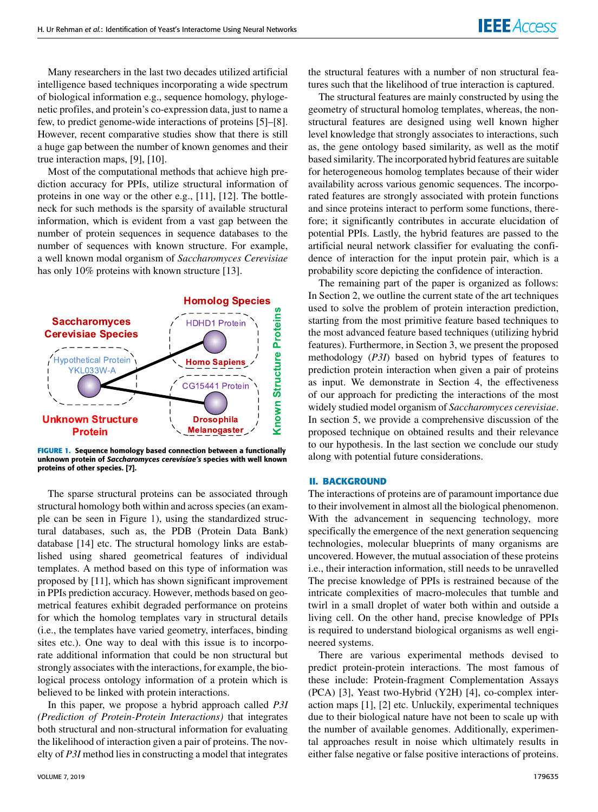Many researchers in the last two decades utilized artificial intelligence based techniques incorporating a wide spectrum of biological information e.g., sequence homology, phylogenetic profiles, and protein's co-expression data, just to name a few, to predict genome-wide interactions of proteins [5]–[8]. However, recent comparative studies show that there is still a huge gap between the number of known genomes and their true interaction maps, [9], [10].

Most of the computational methods that achieve high prediction accuracy for PPIs, utilize structural information of proteins in one way or the other e.g., [11], [12]. The bottleneck for such methods is the sparsity of available structural information, which is evident from a vast gap between the number of protein sequences in sequence databases to the number of sequences with known structure. For example, a well known modal organism of *Saccharomyces Cerevisiae* has only 10% proteins with known structure [13].



**FIGURE 1.** Sequence homology based connection between a functionally unknown protein of *Saccharomyces cerevisiae's* species with well known proteins of other species. [7].

The sparse structural proteins can be associated through structural homology both within and across species (an example can be seen in Figure 1), using the standardized structural databases, such as, the PDB (Protein Data Bank) database [14] etc. The structural homology links are established using shared geometrical features of individual templates. A method based on this type of information was proposed by [11], which has shown significant improvement in PPIs prediction accuracy. However, methods based on geometrical features exhibit degraded performance on proteins for which the homolog templates vary in structural details (i.e., the templates have varied geometry, interfaces, binding sites etc.). One way to deal with this issue is to incorporate additional information that could be non structural but strongly associates with the interactions, for example, the biological process ontology information of a protein which is believed to be linked with protein interactions.

In this paper, we propose a hybrid approach called *P3I (Prediction of Protein-Protein Interactions)* that integrates both structural and non-structural information for evaluating the likelihood of interaction given a pair of proteins. The novelty of *P3I* method lies in constructing a model that integrates the structural features with a number of non structural features such that the likelihood of true interaction is captured.

The structural features are mainly constructed by using the geometry of structural homolog templates, whereas, the nonstructural features are designed using well known higher level knowledge that strongly associates to interactions, such as, the gene ontology based similarity, as well as the motif based similarity. The incorporated hybrid features are suitable for heterogeneous homolog templates because of their wider availability across various genomic sequences. The incorporated features are strongly associated with protein functions and since proteins interact to perform some functions, therefore; it significantly contributes in accurate elucidation of potential PPIs. Lastly, the hybrid features are passed to the artificial neural network classifier for evaluating the confidence of interaction for the input protein pair, which is a probability score depicting the confidence of interaction.

The remaining part of the paper is organized as follows: In Section 2, we outline the current state of the art techniques used to solve the problem of protein interaction prediction, starting from the most primitive feature based techniques to the most advanced feature based techniques (utilizing hybrid features). Furthermore, in Section 3, we present the proposed methodology (*P3I*) based on hybrid types of features to prediction protein interaction when given a pair of proteins as input. We demonstrate in Section 4, the effectiveness of our approach for predicting the interactions of the most widely studied model organism of *Saccharomyces cerevisiae*. In section 5, we provide a comprehensive discussion of the proposed technique on obtained results and their relevance to our hypothesis. In the last section we conclude our study along with potential future considerations.

#### **II. BACKGROUND**

The interactions of proteins are of paramount importance due to their involvement in almost all the biological phenomenon. With the advancement in sequencing technology, more specifically the emergence of the next generation sequencing technologies, molecular blueprints of many organisms are uncovered. However, the mutual association of these proteins i.e., their interaction information, still needs to be unravelled The precise knowledge of PPIs is restrained because of the intricate complexities of macro-molecules that tumble and twirl in a small droplet of water both within and outside a living cell. On the other hand, precise knowledge of PPIs is required to understand biological organisms as well engineered systems.

There are various experimental methods devised to predict protein-protein interactions. The most famous of these include: Protein-fragment Complementation Assays (PCA) [3], Yeast two-Hybrid (Y2H) [4], co-complex interaction maps [1], [2] etc. Unluckily, experimental techniques due to their biological nature have not been to scale up with the number of available genomes. Additionally, experimental approaches result in noise which ultimately results in either false negative or false positive interactions of proteins.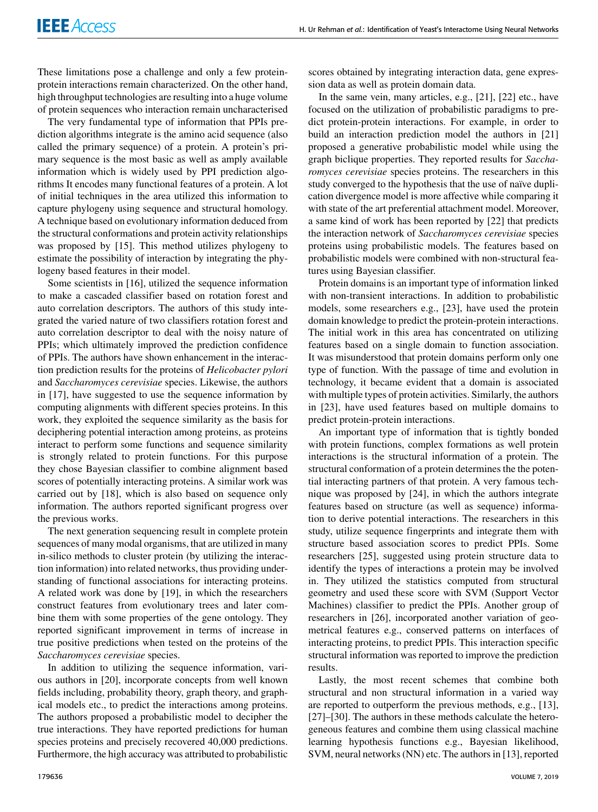These limitations pose a challenge and only a few proteinprotein interactions remain characterized. On the other hand, high throughput technologies are resulting into a huge volume of protein sequences who interaction remain uncharacterised

The very fundamental type of information that PPIs prediction algorithms integrate is the amino acid sequence (also called the primary sequence) of a protein. A protein's primary sequence is the most basic as well as amply available information which is widely used by PPI prediction algorithms It encodes many functional features of a protein. A lot of initial techniques in the area utilized this information to capture phylogeny using sequence and structural homology. A technique based on evolutionary information deduced from the structural conformations and protein activity relationships was proposed by [15]. This method utilizes phylogeny to estimate the possibility of interaction by integrating the phylogeny based features in their model.

Some scientists in [16], utilized the sequence information to make a cascaded classifier based on rotation forest and auto correlation descriptors. The authors of this study integrated the varied nature of two classifiers rotation forest and auto correlation descriptor to deal with the noisy nature of PPIs; which ultimately improved the prediction confidence of PPIs. The authors have shown enhancement in the interaction prediction results for the proteins of *Helicobacter pylori* and *Saccharomyces cerevisiae* species. Likewise, the authors in [17], have suggested to use the sequence information by computing alignments with different species proteins. In this work, they exploited the sequence similarity as the basis for deciphering potential interaction among proteins, as proteins interact to perform some functions and sequence similarity is strongly related to protein functions. For this purpose they chose Bayesian classifier to combine alignment based scores of potentially interacting proteins. A similar work was carried out by [18], which is also based on sequence only information. The authors reported significant progress over the previous works.

The next generation sequencing result in complete protein sequences of many modal organisms, that are utilized in many in-silico methods to cluster protein (by utilizing the interaction information) into related networks, thus providing understanding of functional associations for interacting proteins. A related work was done by [19], in which the researchers construct features from evolutionary trees and later combine them with some properties of the gene ontology. They reported significant improvement in terms of increase in true positive predictions when tested on the proteins of the *Saccharomyces cerevisiae* species.

In addition to utilizing the sequence information, various authors in [20], incorporate concepts from well known fields including, probability theory, graph theory, and graphical models etc., to predict the interactions among proteins. The authors proposed a probabilistic model to decipher the true interactions. They have reported predictions for human species proteins and precisely recovered 40,000 predictions. Furthermore, the high accuracy was attributed to probabilistic

scores obtained by integrating interaction data, gene expression data as well as protein domain data.

In the same vein, many articles, e.g., [21], [22] etc., have focused on the utilization of probabilistic paradigms to predict protein-protein interactions. For example, in order to build an interaction prediction model the authors in [21] proposed a generative probabilistic model while using the graph biclique properties. They reported results for *Saccharomyces cerevisiae* species proteins. The researchers in this study converged to the hypothesis that the use of naïve duplication divergence model is more affective while comparing it with state of the art preferential attachment model. Moreover, a same kind of work has been reported by [22] that predicts the interaction network of *Saccharomyces cerevisiae* species proteins using probabilistic models. The features based on probabilistic models were combined with non-structural features using Bayesian classifier.

Protein domains is an important type of information linked with non-transient interactions. In addition to probabilistic models, some researchers e.g., [23], have used the protein domain knowledge to predict the protein-protein interactions. The initial work in this area has concentrated on utilizing features based on a single domain to function association. It was misunderstood that protein domains perform only one type of function. With the passage of time and evolution in technology, it became evident that a domain is associated with multiple types of protein activities. Similarly, the authors in [23], have used features based on multiple domains to predict protein-protein interactions.

An important type of information that is tightly bonded with protein functions, complex formations as well protein interactions is the structural information of a protein. The structural conformation of a protein determines the the potential interacting partners of that protein. A very famous technique was proposed by [24], in which the authors integrate features based on structure (as well as sequence) information to derive potential interactions. The researchers in this study, utilize sequence fingerprints and integrate them with structure based association scores to predict PPIs. Some researchers [25], suggested using protein structure data to identify the types of interactions a protein may be involved in. They utilized the statistics computed from structural geometry and used these score with SVM (Support Vector Machines) classifier to predict the PPIs. Another group of researchers in [26], incorporated another variation of geometrical features e.g., conserved patterns on interfaces of interacting proteins, to predict PPIs. This interaction specific structural information was reported to improve the prediction results.

Lastly, the most recent schemes that combine both structural and non structural information in a varied way are reported to outperform the previous methods, e.g., [13], [27]–[30]. The authors in these methods calculate the heterogeneous features and combine them using classical machine learning hypothesis functions e.g., Bayesian likelihood, SVM, neural networks (NN) etc. The authors in [13], reported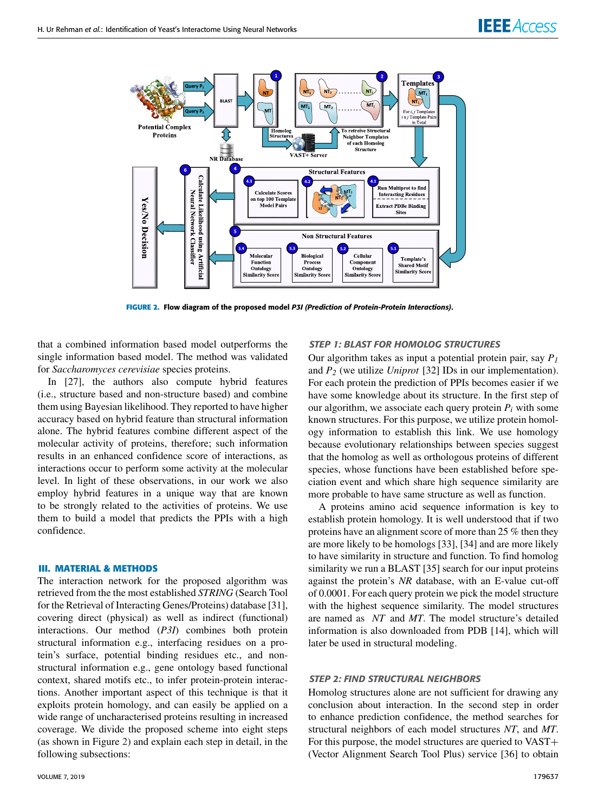

**FIGURE 2.** Flow diagram of the proposed model *P3I (Prediction of Protein-Protein Interactions)*.

that a combined information based model outperforms the single information based model. The method was validated for *Saccharomyces cerevisiae* species proteins.

In [27], the authors also compute hybrid features (i.e., structure based and non-structure based) and combine them using Bayesian likelihood. They reported to have higher accuracy based on hybrid feature than structural information alone. The hybrid features combine different aspect of the molecular activity of proteins, therefore; such information results in an enhanced confidence score of interactions, as interactions occur to perform some activity at the molecular level. In light of these observations, in our work we also employ hybrid features in a unique way that are known to be strongly related to the activities of proteins. We use them to build a model that predicts the PPIs with a high confidence.

## **III. MATERIAL & METHODS**

The interaction network for the proposed algorithm was retrieved from the the most established *STRING* (Search Tool for the Retrieval of Interacting Genes/Proteins) database [31], covering direct (physical) as well as indirect (functional) interactions. Our method (*P3I*) combines both protein structural information e.g., interfacing residues on a protein's surface, potential binding residues etc., and nonstructural information e.g., gene ontology based functional context, shared motifs etc., to infer protein-protein interactions. Another important aspect of this technique is that it exploits protein homology, and can easily be applied on a wide range of uncharacterised proteins resulting in increased coverage. We divide the proposed scheme into eight steps (as shown in Figure 2) and explain each step in detail, in the following subsections:

#### *STEP 1: BLAST FOR HOMOLOG STRUCTURES*

Our algorithm takes as input a potential protein pair, say *P<sup>1</sup>* and *P<sup>2</sup>* (we utilize *Uniprot* [32] IDs in our implementation). For each protein the prediction of PPIs becomes easier if we have some knowledge about its structure. In the first step of our algorithm, we associate each query protein  $P_i$  with some known structures. For this purpose, we utilize protein homology information to establish this link. We use homology because evolutionary relationships between species suggest that the homolog as well as orthologous proteins of different species, whose functions have been established before speciation event and which share high sequence similarity are more probable to have same structure as well as function.

A proteins amino acid sequence information is key to establish protein homology. It is well understood that if two proteins have an alignment score of more than 25 % then they are more likely to be homologs [33], [34] and are more likely to have similarity in structure and function. To find homolog similarity we run a BLAST [35] search for our input proteins against the protein's *NR* database, with an E-value cut-off of 0.0001. For each query protein we pick the model structure with the highest sequence similarity. The model structures are named as *NT* and *MT*. The model structure's detailed information is also downloaded from PDB [14], which will later be used in structural modeling.

#### *STEP 2: FIND STRUCTURAL NEIGHBORS*

Homolog structures alone are not sufficient for drawing any conclusion about interaction. In the second step in order to enhance prediction confidence, the method searches for structural neighbors of each model structures *NT*, and *MT*. For this purpose, the model structures are queried to VAST+ (Vector Alignment Search Tool Plus) service [36] to obtain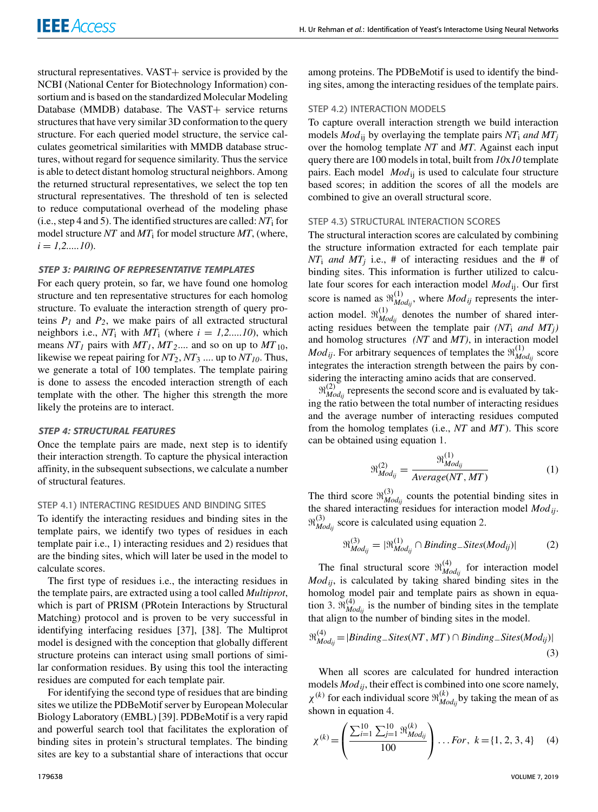structural representatives. VAST+ service is provided by the NCBI (National Center for Biotechnology Information) consortium and is based on the standardized Molecular Modeling Database (MMDB) database. The VAST+ service returns structures that have very similar 3D conformation to the query structure. For each queried model structure, the service calculates geometrical similarities with MMDB database structures, without regard for sequence similarity. Thus the service is able to detect distant homolog structural neighbors. Among the returned structural representatives, we select the top ten structural representatives. The threshold of ten is selected to reduce computational overhead of the modeling phase (i.e., step 4 and 5). The identified structures are called:  $NT_i$  for model structure *NT* and *MT*<sup>i</sup> for model structure *MT*, (where,  $i = 1, 2, \ldots, 10$ .

# *STEP 3: PAIRING OF REPRESENTATIVE TEMPLATES*

For each query protein, so far, we have found one homolog structure and ten representative structures for each homolog structure. To evaluate the interaction strength of query proteins  $P_1$  and  $P_2$ , we make pairs of all extracted structural neighbors i.e.,  $NT_i$  with  $MT_i$  (where  $i = 1, 2, ..., 10$ ), which means  $NT_1$  pairs with  $MT_1$ ,  $MT_2$ .... and so on up to  $MT_{10}$ , likewise we repeat pairing for *NT*2, *NT*<sup>3</sup> .... up to *NT10*. Thus, we generate a total of 100 templates. The template pairing is done to assess the encoded interaction strength of each template with the other. The higher this strength the more likely the proteins are to interact.

# *STEP 4: STRUCTURAL FEATURES*

Once the template pairs are made, next step is to identify their interaction strength. To capture the physical interaction affinity, in the subsequent subsections, we calculate a number of structural features.

#### STEP 4.1) INTERACTING RESIDUES AND BINDING SITES

To identify the interacting residues and binding sites in the template pairs, we identify two types of residues in each template pair i.e., 1) interacting residues and 2) residues that are the binding sites, which will later be used in the model to calculate scores.

The first type of residues i.e., the interacting residues in the template pairs, are extracted using a tool called *Multiprot*, which is part of PRISM (PRotein Interactions by Structural Matching) protocol and is proven to be very successful in identifying interfacing residues [37], [38]. The Multiprot model is designed with the conception that globally different structure proteins can interact using small portions of similar conformation residues. By using this tool the interacting residues are computed for each template pair.

For identifying the second type of residues that are binding sites we utilize the PDBeMotif server by European Molecular Biology Laboratory (EMBL) [39]. PDBeMotif is a very rapid and powerful search tool that facilitates the exploration of binding sites in protein's structural templates. The binding sites are key to a substantial share of interactions that occur among proteins. The PDBeMotif is used to identify the binding sites, among the interacting residues of the template pairs.

# STEP 4.2) INTERACTION MODELS

To capture overall interaction strength we build interaction models *Mod*ij by overlaying the template pairs *NT*<sup>i</sup> *and MT<sup>j</sup>* over the homolog template *NT* and *MT*. Against each input query there are 100 models in total, built from *10*x*10* template pairs. Each model *Mod*<sub>ii</sub> is used to calculate four structure based scores; in addition the scores of all the models are combined to give an overall structural score.

# STEP 4.3) STRUCTURAL INTERACTION SCORES

The structural interaction scores are calculated by combining the structure information extracted for each template pair *NT*<sup>i</sup> *and MT<sup>j</sup>* i.e., # of interacting residues and the # of binding sites. This information is further utilized to calculate four scores for each interaction model *Mod*ij. Our first score is named as  $\mathfrak{R}_{M_c}^{(1)}$  $_{Mod_{ij}}^{(1)}$ , where  $Mod_{ij}$  represents the interaction model.  $\mathfrak{R}_{M_c}^{(1)}$  $_{Mod_{ij}}^{(1)}$  denotes the number of shared interacting residues between the template pair  $(NT_i$  *and*  $MT_i$ *)* and homolog structures *(NT* and *MT)*, in interaction model *Mod*<sub>*ij*</sub>. For arbitrary sequences of templates the  $\mathfrak{R}_{Md}^{(1)}$ *Modij* score integrates the interaction strength between the pairs by considering the interacting amino acids that are conserved.

 $\mathfrak{R}_{\textit{Mc}}^{(2)}$  $\frac{dZ}{dV}$  represents the second score and is evaluated by taking the ratio between the total number of interacting residues and the average number of interacting residues computed from the homolog templates (i.e., *NT* and *MT* ). This score can be obtained using equation 1.

$$
\mathfrak{R}_{Mod_{ij}}^{(2)} = \frac{\mathfrak{R}_{Mod_{ij}}^{(1)}}{Average(NT, MT)}
$$
(1)

The third score  $\mathfrak{R}_{M_c}^{(3)}$  $_{Mod_{ij}}^{(5)}$  counts the potential binding sites in the shared interacting residues for interaction model *Modij*.  $\mathfrak{R}^{(3)}_M$  $^{(5)}_{Mod_{ij}}$  score is calculated using equation 2.

$$
\mathfrak{R}_{Mod_{ij}}^{(3)} = |\mathfrak{R}_{Mod_{ij}}^{(1)} \cap Binding\_Sites(Mod_{ij})|
$$
 (2)

The final structural score  $\mathfrak{R}_{\mathcal{M}}^{(4)}$  $_{Mod_{ij}}^{(4)}$  for interaction model *Modij*, is calculated by taking shared binding sites in the homolog model pair and template pairs as shown in equation 3.  $\mathfrak{R}_{M_c}^{(4)}$  $\sum_{Mod_{ij}}$  is the number of binding sites in the template that align to the number of binding sites in the model.

$$
\mathfrak{R}_{Mod_{ij}}^{(4)} = | Binding\_Sites(NT, MT) \cap Binding\_Sites(Mod_{ij})|
$$
\n(3)

When all scores are calculated for hundred interaction models *Modij*, their effect is combined into one score namely,  $\chi^{(k)}$  for each individual score  $\mathfrak{R}_{\mathcal{M}}^{(k)}$ *Modij* by taking the mean of as shown in equation 4.

$$
\chi^{(k)} = \left(\frac{\sum_{i=1}^{10} \sum_{j=1}^{10} \mathfrak{R}_{Mod_{ij}}^{(k)}}{100}\right) \dots \text{For, } k = \{1, 2, 3, 4\} \tag{4}
$$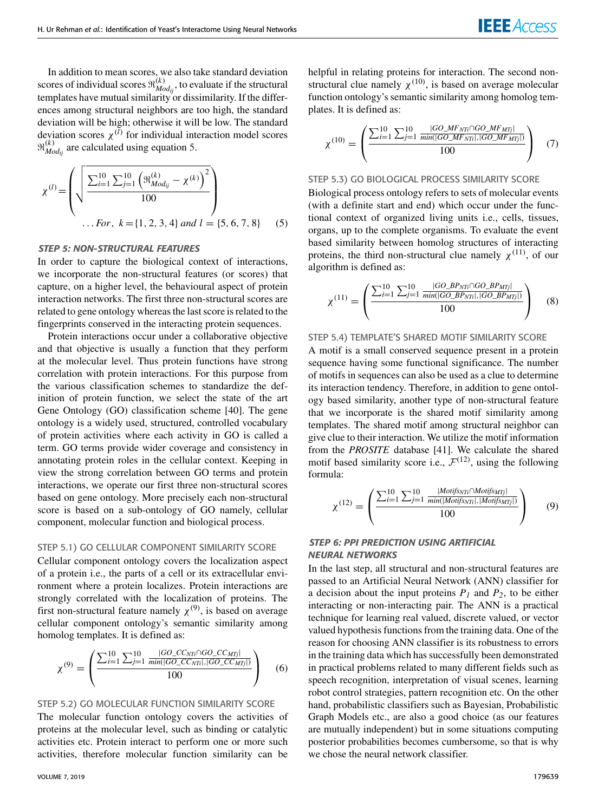In addition to mean scores, we also take standard deviation scores of individual scores  $\mathfrak{R}_{\text{Mc}}^{(k)}$  $_{Mod_{ij}}^{(k)}$ , to evaluate if the structural templates have mutual similarity or dissimilarity. If the differences among structural neighbors are too high, the standard deviation will be high; otherwise it will be low. The standard deviation scores  $\chi^{(l)}$  for individual interaction model scores  $\mathfrak{R}_{\bm{Mc}}^{(k)}$  $_{Mod_{ij}}^{(k)}$  are calculated using equation 5.

$$
\chi^{(l)} = \left( \sqrt{\frac{\sum_{i=1}^{10} \sum_{j=1}^{10} \left( \mathfrak{R}_{Mod_{ij}}^{(k)} - \chi^{(k)} \right)^2}{100}} \right) \dots \text{For, } k = \{1, 2, 3, 4\} \text{ and } l = \{5, 6, 7, 8\} \tag{5}
$$

# *STEP 5: NON-STRUCTURAL FEATURES*

In order to capture the biological context of interactions, we incorporate the non-structural features (or scores) that capture, on a higher level, the behavioural aspect of protein interaction networks. The first three non-structural scores are related to gene ontology whereas the last score is related to the fingerprints conserved in the interacting protein sequences.

Protein interactions occur under a collaborative objective and that objective is usually a function that they perform at the molecular level. Thus protein functions have strong correlation with protein interactions. For this purpose from the various classification schemes to standardize the definition of protein function, we select the state of the art Gene Ontology (GO) classification scheme [40]. The gene ontology is a widely used, structured, controlled vocabulary of protein activities where each activity in GO is called a term. GO terms provide wider coverage and consistency in annotating protein roles in the cellular context. Keeping in view the strong correlation between GO terms and protein interactions, we operate our first three non-structural scores based on gene ontology. More precisely each non-structural score is based on a sub-ontology of GO namely, cellular component, molecular function and biological process.

# STEP 5.1) GO CELLULAR COMPONENT SIMILARITY SCORE

Cellular component ontology covers the localization aspect of a protein i.e., the parts of a cell or its extracellular environment where a protein localizes. Protein interactions are strongly correlated with the localization of proteins. The first non-structural feature namely  $\chi^{(9)}$ , is based on average cellular component ontology's semantic similarity among homolog templates. It is defined as:

$$
\chi^{(9)} = \left(\frac{\sum_{i=1}^{10} \sum_{j=1}^{10} \frac{|GO\_CC_{NTi} \cap GO\_CC_{MTj}|}{min(|GO\_CC_{NTi}|, |GO\_CC_{MTj}|)}}{100}\right) \tag{6}
$$

# STEP 5.2) GO MOLECULAR FUNCTION SIMILARITY SCORE

The molecular function ontology covers the activities of proteins at the molecular level, such as binding or catalytic activities etc. Protein interact to perform one or more such activities, therefore molecular function similarity can be helpful in relating proteins for interaction. The second nonstructural clue namely  $\chi^{(10)}$ , is based on average molecular function ontology's semantic similarity among homolog templates. It is defined as:

$$
\chi^{(10)} = \begin{pmatrix} \frac{\sum_{i=1}^{10} \sum_{j=1}^{10} \frac{|GO\_MF_{NTi} \cap GO\_MF_{MTj}|}{min(|GO\_MF_{NTi}|, |GO\_MF_{MTj}|)}}{100} \end{pmatrix} \quad (7)
$$

# STEP 5.3) GO BIOLOGICAL PROCESS SIMILARITY SCORE

Biological process ontology refers to sets of molecular events (with a definite start and end) which occur under the functional context of organized living units i.e., cells, tissues, organs, up to the complete organisms. To evaluate the event based similarity between homolog structures of interacting proteins, the third non-structural clue namely  $\chi^{(11)}$ , of our algorithm is defined as:

$$
\chi^{(11)} = \begin{pmatrix} \frac{\sum_{i=1}^{10} \sum_{j=1}^{10} \frac{|GO\_BP_{NT_i} \cap GO\_BP_{MTj}|}{min(|GO\_BP_{NT_i}|, |GO\_BP_{MTj}|)}}{100} \end{pmatrix}
$$
 (8)

### STEP 5.4) TEMPLATE'S SHARED MOTIF SIMILARITY SCORE

A motif is a small conserved sequence present in a protein sequence having some functional significance. The number of motifs in sequences can also be used as a clue to determine its interaction tendency. Therefore, in addition to gene ontology based similarity, another type of non-structural feature that we incorporate is the shared motif similarity among templates. The shared motif among structural neighbor can give clue to their interaction. We utilize the motif information from the *PROSITE* database [41]. We calculate the shared motif based similarity score i.e.,  $\mathcal{F}^{(12)}$ , using the following formula:

$$
\chi^{(12)} = \left(\frac{\sum_{i=1}^{10} \sum_{j=1}^{10} \frac{|Motif_{NTT} \cap Motif_{SMT}|}{min(|Motif_{SNT}|, |Motif_{SMT}|)}}{100}\right) \tag{9}
$$

# *STEP 6: PPI PREDICTION USING ARTIFICIAL NEURAL NETWORKS*

In the last step, all structural and non-structural features are passed to an Artificial Neural Network (ANN) classifier for a decision about the input proteins  $P_1$  and  $P_2$ , to be either interacting or non-interacting pair. The ANN is a practical technique for learning real valued, discrete valued, or vector valued hypothesis functions from the training data. One of the reason for choosing ANN classifier is its robustness to errors in the training data which has successfully been demonstrated in practical problems related to many different fields such as speech recognition, interpretation of visual scenes, learning robot control strategies, pattern recognition etc. On the other hand, probabilistic classifiers such as Bayesian, Probabilistic Graph Models etc., are also a good choice (as our features are mutually independent) but in some situations computing posterior probabilities becomes cumbersome, so that is why we chose the neural network classifier.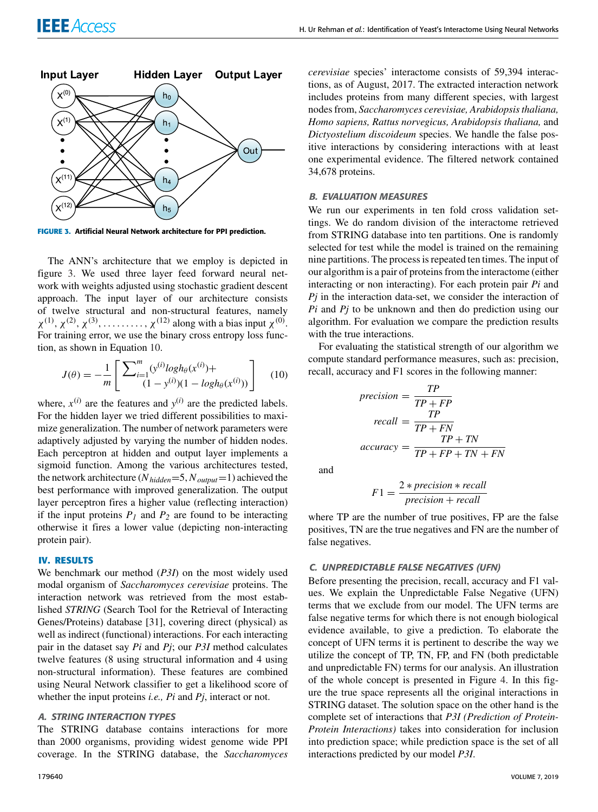

**FIGURE 3.** Artificial Neural Network architecture for PPI prediction.

The ANN's architecture that we employ is depicted in figure 3. We used three layer feed forward neural network with weights adjusted using stochastic gradient descent approach. The input layer of our architecture consists of twelve structural and non-structural features, namely  $\chi^{(1)}$ ,  $\chi^{(2)}$ ,  $\chi^{(3)}$ , .......,  $\chi^{(12)}$  along with a bias input  $\chi^{(0)}$ . For training error, we use the binary cross entropy loss function, as shown in Equation 10.

$$
J(\theta) = -\frac{1}{m} \left[ \frac{\sum_{i=1}^{m} (y^{(i)} log h_{\theta}(x^{(i)}) + \frac{1}{(1 - y^{(i)}) (1 - log h_{\theta}(x^{(i)}))} \right] \tag{10}
$$

where,  $x^{(i)}$  are the features and  $y^{(i)}$  are the predicted labels. For the hidden layer we tried different possibilities to maximize generalization. The number of network parameters were adaptively adjusted by varying the number of hidden nodes. Each perceptron at hidden and output layer implements a sigmoid function. Among the various architectures tested, the network architecture (*Nhidden*=5, *Noutput*=1) achieved the best performance with improved generalization. The output layer perceptron fires a higher value (reflecting interaction) if the input proteins  $P_I$  and  $P_2$  are found to be interacting otherwise it fires a lower value (depicting non-interacting protein pair).

# **IV. RESULTS**

We benchmark our method (*P3I*) on the most widely used modal organism of *Saccharomyces cerevisiae* proteins. The interaction network was retrieved from the most established *STRING* (Search Tool for the Retrieval of Interacting Genes/Proteins) database [31], covering direct (physical) as well as indirect (functional) interactions. For each interacting pair in the dataset say *Pi* and *Pj*; our *P3I* method calculates twelve features (8 using structural information and 4 using non-structural information). These features are combined using Neural Network classifier to get a likelihood score of whether the input proteins *i.e., Pi* and *Pj*, interact or not.

# *A. STRING INTERACTION TYPES*

The STRING database contains interactions for more than 2000 organisms, providing widest genome wide PPI coverage. In the STRING database, the *Saccharomyces*

*cerevisiae* species' interactome consists of 59,394 interactions, as of August, 2017. The extracted interaction network includes proteins from many different species, with largest nodes from, *Saccharomyces cerevisiae, Arabidopsis thaliana, Homo sapiens, Rattus norvegicus, Arabidopsis thaliana,* and *Dictyostelium discoideum* species. We handle the false positive interactions by considering interactions with at least one experimental evidence. The filtered network contained 34,678 proteins.

# *B. EVALUATION MEASURES*

We run our experiments in ten fold cross validation settings. We do random division of the interactome retrieved from STRING database into ten partitions. One is randomly selected for test while the model is trained on the remaining nine partitions. The process is repeated ten times. The input of our algorithm is a pair of proteins from the interactome (either interacting or non interacting). For each protein pair *Pi* and *Pj* in the interaction data-set, we consider the interaction of *Pi* and *Pj* to be unknown and then do prediction using our algorithm. For evaluation we compare the prediction results with the true interactions.

For evaluating the statistical strength of our algorithm we compute standard performance measures, such as: precision, recall, accuracy and F1 scores in the following manner:

$$
precision = \frac{TP}{TP + FP}
$$

$$
recall = \frac{TP}{TP + FN}
$$

$$
accuracy = \frac{TP + TN}{TP + FP + TN + FN}
$$

and

$$
F1 = \frac{2 * precision * recall}{precision + recall}
$$

where TP are the number of true positives, FP are the false positives, TN are the true negatives and FN are the number of false negatives.

# *C. UNPREDICTABLE FALSE NEGATIVES (UFN)*

Before presenting the precision, recall, accuracy and F1 values. We explain the Unpredictable False Negative (UFN) terms that we exclude from our model. The UFN terms are false negative terms for which there is not enough biological evidence available, to give a prediction. To elaborate the concept of UFN terms it is pertinent to describe the way we utilize the concept of TP, TN, FP, and FN (both predictable and unpredictable FN) terms for our analysis. An illustration of the whole concept is presented in Figure 4. In this figure the true space represents all the original interactions in STRING dataset. The solution space on the other hand is the complete set of interactions that *P3I (Prediction of Protein-Protein Interactions)* takes into consideration for inclusion into prediction space; while prediction space is the set of all interactions predicted by our model *P3I*.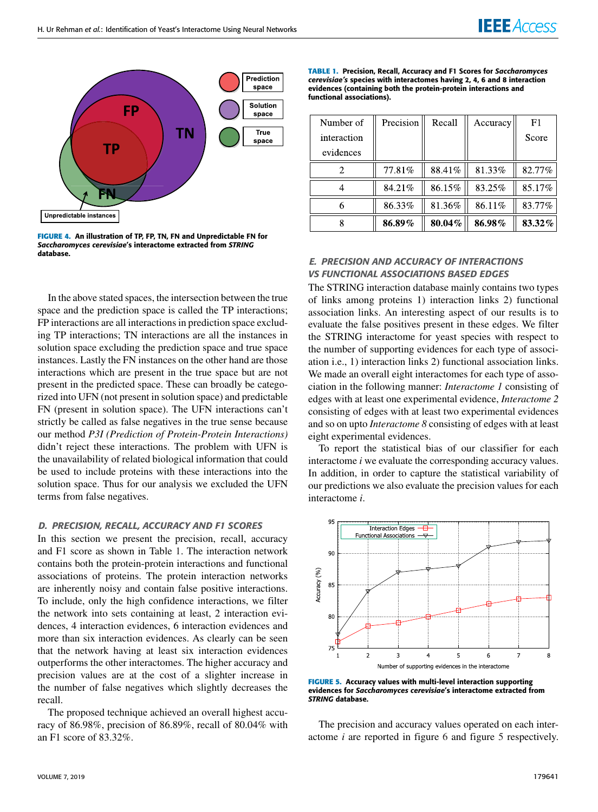

**FIGURE 4.** An illustration of TP, FP, TN, FN and Unpredictable FN for *Saccharomyces cerevisiae*'s interactome extracted from *STRING* database.

In the above stated spaces, the intersection between the true space and the prediction space is called the TP interactions; FP interactions are all interactions in prediction space excluding TP interactions; TN interactions are all the instances in solution space excluding the prediction space and true space instances. Lastly the FN instances on the other hand are those interactions which are present in the true space but are not present in the predicted space. These can broadly be categorized into UFN (not present in solution space) and predictable FN (present in solution space). The UFN interactions can't strictly be called as false negatives in the true sense because our method *P3I (Prediction of Protein-Protein Interactions)* didn't reject these interactions. The problem with UFN is the unavailability of related biological information that could be used to include proteins with these interactions into the solution space. Thus for our analysis we excluded the UFN terms from false negatives.

# *D. PRECISION, RECALL, ACCURACY AND F1 SCORES*

In this section we present the precision, recall, accuracy and F1 score as shown in Table 1. The interaction network contains both the protein-protein interactions and functional associations of proteins. The protein interaction networks are inherently noisy and contain false positive interactions. To include, only the high confidence interactions, we filter the network into sets containing at least, 2 interaction evidences, 4 interaction evidences, 6 interaction evidences and more than six interaction evidences. As clearly can be seen that the network having at least six interaction evidences outperforms the other interactomes. The higher accuracy and precision values are at the cost of a slighter increase in the number of false negatives which slightly decreases the recall.

The proposed technique achieved an overall highest accuracy of 86.98%, precision of 86.89%, recall of 80.04% with an F1 score of 83.32%.

**TABLE 1.** Precision, Recall, Accuracy and F1 Scores for *Saccharomyces cerevisiae's* species with interactomes having 2, 4, 6 and 8 interaction evidences (containing both the protein-protein interactions and functional associations).

| Number of   | Precision | Recall | Accuracy | F1     |
|-------------|-----------|--------|----------|--------|
| interaction |           |        |          | Score  |
| evidences   |           |        |          |        |
|             | 77.81%    | 88.41% | 81.33%   | 82.77% |
|             | 84.21%    | 86.15% | 83.25%   | 85.17% |
|             | 86.33%    | 81.36% | 86.11%   | 83.77% |
|             | 86.89%    | 80.04% | 86.98%   | 83.32% |

# *E. PRECISION AND ACCURACY OF INTERACTIONS VS FUNCTIONAL ASSOCIATIONS BASED EDGES*

The STRING interaction database mainly contains two types of links among proteins 1) interaction links 2) functional association links. An interesting aspect of our results is to evaluate the false positives present in these edges. We filter the STRING interactome for yeast species with respect to the number of supporting evidences for each type of association i.e., 1) interaction links 2) functional association links. We made an overall eight interactomes for each type of association in the following manner: *Interactome 1* consisting of edges with at least one experimental evidence, *Interactome 2* consisting of edges with at least two experimental evidences and so on upto *Interactome 8* consisting of edges with at least eight experimental evidences.

To report the statistical bias of our classifier for each interactome *i* we evaluate the corresponding accuracy values. In addition, in order to capture the statistical variability of our predictions we also evaluate the precision values for each interactome *i*.



**FIGURE 5.** Accuracy values with multi-level interaction supporting evidences for *Saccharomyces cerevisiae*'s interactome extracted from *STRING* database.

The precision and accuracy values operated on each interactome *i* are reported in figure 6 and figure 5 respectively.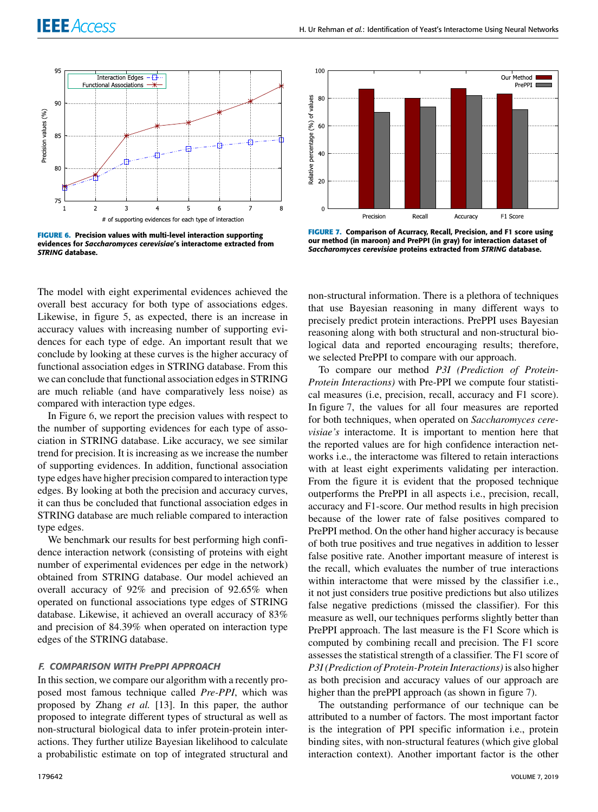

**FIGURE 6.** Precision values with multi-level interaction supporting evidences for *Saccharomyces cerevisiae*'s interactome extracted from *STRING* database.

The model with eight experimental evidences achieved the overall best accuracy for both type of associations edges. Likewise, in figure 5, as expected, there is an increase in accuracy values with increasing number of supporting evidences for each type of edge. An important result that we conclude by looking at these curves is the higher accuracy of functional association edges in STRING database. From this we can conclude that functional association edges in STRING are much reliable (and have comparatively less noise) as compared with interaction type edges.

In Figure 6, we report the precision values with respect to the number of supporting evidences for each type of association in STRING database. Like accuracy, we see similar trend for precision. It is increasing as we increase the number of supporting evidences. In addition, functional association type edges have higher precision compared to interaction type edges. By looking at both the precision and accuracy curves, it can thus be concluded that functional association edges in STRING database are much reliable compared to interaction type edges.

We benchmark our results for best performing high confidence interaction network (consisting of proteins with eight number of experimental evidences per edge in the network) obtained from STRING database. Our model achieved an overall accuracy of 92% and precision of 92.65% when operated on functional associations type edges of STRING database. Likewise, it achieved an overall accuracy of 83% and precision of 84.39% when operated on interaction type edges of the STRING database.

# *F. COMPARISON WITH PrePPI APPROACH*

In this section, we compare our algorithm with a recently proposed most famous technique called *Pre-PPI*, which was proposed by Zhang *et al.* [13]. In this paper, the author proposed to integrate different types of structural as well as non-structural biological data to infer protein-protein interactions. They further utilize Bayesian likelihood to calculate a probabilistic estimate on top of integrated structural and



**FIGURE 7.** Comparison of Acurracy, Recall, Precision, and F1 score using our method (in maroon) and PrePPI (in gray) for interaction dataset of *Saccharomyces cerevisiae* proteins extracted from *STRING* database.

non-structural information. There is a plethora of techniques that use Bayesian reasoning in many different ways to precisely predict protein interactions. PrePPI uses Bayesian reasoning along with both structural and non-structural biological data and reported encouraging results; therefore, we selected PrePPI to compare with our approach.

To compare our method *P3I (Prediction of Protein-Protein Interactions)* with Pre-PPI we compute four statistical measures (i.e, precision, recall, accuracy and F1 score). In figure 7, the values for all four measures are reported for both techniques, when operated on *Saccharomyces cerevisiae's* interactome. It is important to mention here that the reported values are for high confidence interaction networks i.e., the interactome was filtered to retain interactions with at least eight experiments validating per interaction. From the figure it is evident that the proposed technique outperforms the PrePPI in all aspects i.e., precision, recall, accuracy and F1-score. Our method results in high precision because of the lower rate of false positives compared to PrePPI method. On the other hand higher accuracy is because of both true positives and true negatives in addition to lesser false positive rate. Another important measure of interest is the recall, which evaluates the number of true interactions within interactome that were missed by the classifier i.e., it not just considers true positive predictions but also utilizes false negative predictions (missed the classifier). For this measure as well, our techniques performs slightly better than PrePPI approach. The last measure is the F1 Score which is computed by combining recall and precision. The F1 score assesses the statistical strength of a classifier. The F1 score of *P3I (Prediction of Protein-Protein Interactions)* is also higher as both precision and accuracy values of our approach are higher than the prePPI approach (as shown in figure 7).

The outstanding performance of our technique can be attributed to a number of factors. The most important factor is the integration of PPI specific information i.e., protein binding sites, with non-structural features (which give global interaction context). Another important factor is the other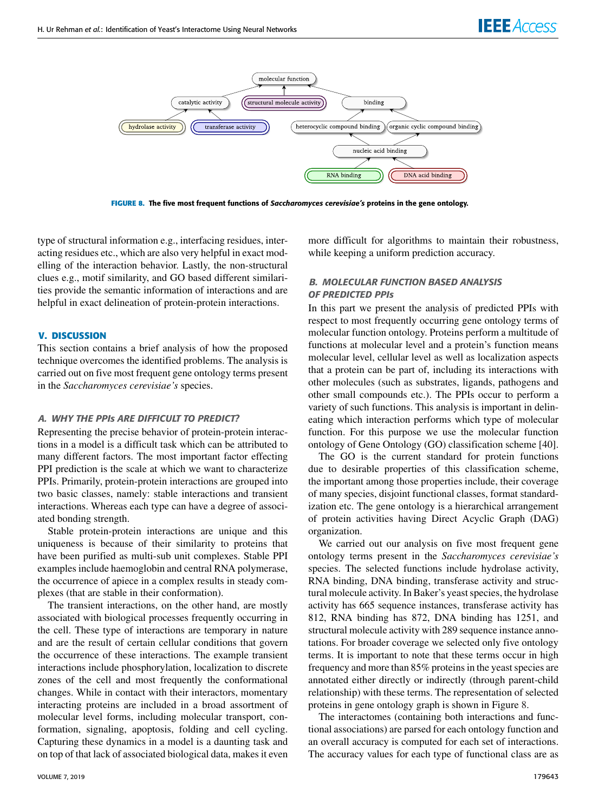

**FIGURE 8.** The five most frequent functions of *Saccharomyces cerevisiae's* proteins in the gene ontology.

type of structural information e.g., interfacing residues, interacting residues etc., which are also very helpful in exact modelling of the interaction behavior. Lastly, the non-structural clues e.g., motif similarity, and GO based different similarities provide the semantic information of interactions and are helpful in exact delineation of protein-protein interactions.

# **V. DISCUSSION**

This section contains a brief analysis of how the proposed technique overcomes the identified problems. The analysis is carried out on five most frequent gene ontology terms present in the *Saccharomyces cerevisiae's* species.

# *A. WHY THE PPIs ARE DIFFICULT TO PREDICT?*

Representing the precise behavior of protein-protein interactions in a model is a difficult task which can be attributed to many different factors. The most important factor effecting PPI prediction is the scale at which we want to characterize PPIs. Primarily, protein-protein interactions are grouped into two basic classes, namely: stable interactions and transient interactions. Whereas each type can have a degree of associated bonding strength.

Stable protein-protein interactions are unique and this uniqueness is because of their similarity to proteins that have been purified as multi-sub unit complexes. Stable PPI examples include haemoglobin and central RNA polymerase, the occurrence of apiece in a complex results in steady complexes (that are stable in their conformation).

The transient interactions, on the other hand, are mostly associated with biological processes frequently occurring in the cell. These type of interactions are temporary in nature and are the result of certain cellular conditions that govern the occurrence of these interactions. The example transient interactions include phosphorylation, localization to discrete zones of the cell and most frequently the conformational changes. While in contact with their interactors, momentary interacting proteins are included in a broad assortment of molecular level forms, including molecular transport, conformation, signaling, apoptosis, folding and cell cycling. Capturing these dynamics in a model is a daunting task and on top of that lack of associated biological data, makes it even more difficult for algorithms to maintain their robustness, while keeping a uniform prediction accuracy.

# *B. MOLECULAR FUNCTION BASED ANALYSIS OF PREDICTED PPIs*

In this part we present the analysis of predicted PPIs with respect to most frequently occurring gene ontology terms of molecular function ontology. Proteins perform a multitude of functions at molecular level and a protein's function means molecular level, cellular level as well as localization aspects that a protein can be part of, including its interactions with other molecules (such as substrates, ligands, pathogens and other small compounds etc.). The PPIs occur to perform a variety of such functions. This analysis is important in delineating which interaction performs which type of molecular function. For this purpose we use the molecular function ontology of Gene Ontology (GO) classification scheme [40].

The GO is the current standard for protein functions due to desirable properties of this classification scheme, the important among those properties include, their coverage of many species, disjoint functional classes, format standardization etc. The gene ontology is a hierarchical arrangement of protein activities having Direct Acyclic Graph (DAG) organization.

We carried out our analysis on five most frequent gene ontology terms present in the *Saccharomyces cerevisiae's* species. The selected functions include hydrolase activity, RNA binding, DNA binding, transferase activity and structural molecule activity. In Baker's yeast species, the hydrolase activity has 665 sequence instances, transferase activity has 812, RNA binding has 872, DNA binding has 1251, and structural molecule activity with 289 sequence instance annotations. For broader coverage we selected only five ontology terms. It is important to note that these terms occur in high frequency and more than 85% proteins in the yeast species are annotated either directly or indirectly (through parent-child relationship) with these terms. The representation of selected proteins in gene ontology graph is shown in Figure 8.

The interactomes (containing both interactions and functional associations) are parsed for each ontology function and an overall accuracy is computed for each set of interactions. The accuracy values for each type of functional class are as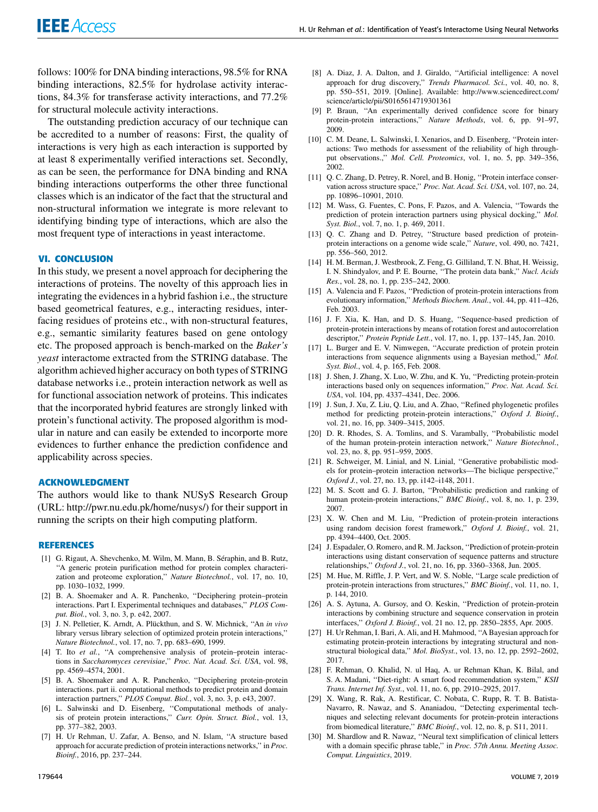follows: 100% for DNA binding interactions, 98.5% for RNA binding interactions, 82.5% for hydrolase activity interactions, 84.3% for transferase activity interactions, and 77.2% for structural molecule activity interactions.

The outstanding prediction accuracy of our technique can be accredited to a number of reasons: First, the quality of interactions is very high as each interaction is supported by at least 8 experimentally verified interactions set. Secondly, as can be seen, the performance for DNA binding and RNA binding interactions outperforms the other three functional classes which is an indicator of the fact that the structural and non-structural information we integrate is more relevant to identifying binding type of interactions, which are also the most frequent type of interactions in yeast interactome.

# **VI. CONCLUSION**

In this study, we present a novel approach for deciphering the interactions of proteins. The novelty of this approach lies in integrating the evidences in a hybrid fashion i.e., the structure based geometrical features, e.g., interacting residues, interfacing residues of proteins etc., with non-structural features, e.g., semantic similarity features based on gene ontology etc. The proposed approach is bench-marked on the *Baker's yeast* interactome extracted from the STRING database. The algorithm achieved higher accuracy on both types of STRING database networks i.e., protein interaction network as well as for functional association network of proteins. This indicates that the incorporated hybrid features are strongly linked with protein's functional activity. The proposed algorithm is modular in nature and can easily be extended to incorporte more evidences to further enhance the prediction confidence and applicability across species.

### **ACKNOWLEDGMENT**

The authors would like to thank NUSyS Research Group (URL: http://pwr.nu.edu.pk/home/nusys/) for their support in running the scripts on their high computing platform.

#### **REFERENCES**

- [1] G. Rigaut, A. Shevchenko, M. Wilm, M. Mann, B. Séraphin, and B. Rutz, ''A generic protein purification method for protein complex characterization and proteome exploration,'' *Nature Biotechnol.*, vol. 17, no. 10, pp. 1030–1032, 1999.
- [2] B. A. Shoemaker and A. R. Panchenko, "Deciphering protein–protein interactions. Part I. Experimental techniques and databases,'' *PLOS Comput. Biol.*, vol. 3, no. 3, p. e42, 2007.
- [3] J. N. Pelletier, K. Arndt, A. Plückthun, and S. W. Michnick, ''An *in vivo* library versus library selection of optimized protein protein interactions,'' *Nature Biotechnol.*, vol. 17, no. 7, pp. 683–690, 1999.
- [4] T. Ito *et al.*, "A comprehensive analysis of protein–protein interactions in *Saccharomyces cerevisiae*,'' *Proc. Nat. Acad. Sci. USA*, vol. 98, pp. 4569–4574, 2001.
- [5] B. A. Shoemaker and A. R. Panchenko, ''Deciphering protein-protein interactions. part ii. computational methods to predict protein and domain interaction partners,'' *PLOS Comput. Biol.*, vol. 3, no. 3, p. e43, 2007.
- [6] L. Salwinski and D. Eisenberg, ''Computational methods of analysis of protein protein interactions,'' *Curr. Opin. Struct. Biol.*, vol. 13, pp. 377–382, 2003.
- [7] H. Ur Rehman, U. Zafar, A. Benso, and N. Islam, ''A structure based approach for accurate prediction of protein interactions networks,'' in *Proc. Bioinf.*, 2016, pp. 237–244.
- [8] A. Diaz, J. A. Dalton, and J. Giraldo, "Artificial intelligence: A novel approach for drug discovery,'' *Trends Pharmacol. Sci.*, vol. 40, no. 8, pp. 550–551, 2019. [Online]. Available: http://www.sciencedirect.com/ science/article/pii/S0165614719301361
- [9] P. Braun, ''An experimentally derived confidence score for binary protein-protein interactions,'' *Nature Methods*, vol. 6, pp. 91–97, 2009.
- [10] C. M. Deane, L. Salwinski, I. Xenarios, and D. Eisenberg, "Protein interactions: Two methods for assessment of the reliability of high throughput observations.,'' *Mol. Cell. Proteomics*, vol. 1, no. 5, pp. 349–356, 2002.
- [11] Q. C. Zhang, D. Petrey, R. Norel, and B. Honig, "Protein interface conservation across structure space,'' *Proc. Nat. Acad. Sci. USA*, vol. 107, no. 24, pp. 10896–10901, 2010.
- [12] M. Wass, G. Fuentes, C. Pons, F. Pazos, and A. Valencia, ''Towards the prediction of protein interaction partners using physical docking,'' *Mol. Syst. Biol.*, vol. 7, no. 1, p. 469, 2011.
- [13] Q. C. Zhang and D. Petrey, "Structure based prediction of proteinprotein interactions on a genome wide scale,'' *Nature*, vol. 490, no. 7421, pp. 556–560, 2012.
- [14] H. M. Berman, J. Westbrook, Z. Feng, G. Gilliland, T. N. Bhat, H. Weissig, I. N. Shindyalov, and P. E. Bourne, ''The protein data bank,'' *Nucl. Acids Res.*, vol. 28, no. 1, pp. 235–242, 2000.
- [15] A. Valencia and F. Pazos, "Prediction of protein-protein interactions from evolutionary information,'' *Methods Biochem. Anal.*, vol. 44, pp. 411–426, Feb. 2003.
- [16] J. F. Xia, K. Han, and D. S. Huang, "Sequence-based prediction of protein-protein interactions by means of rotation forest and autocorrelation descriptor,'' *Protein Peptide Lett.*, vol. 17, no. 1, pp. 137–145, Jan. 2010.
- [17] L. Burger and E. V. Nimwegen, ''Accurate prediction of protein protein interactions from sequence alignments using a Bayesian method,'' *Mol. Syst. Biol.*, vol. 4, p. 165, Feb. 2008.
- [18] J. Shen, J. Zhang, X. Luo, W. Zhu, and K. Yu, "Predicting protein-protein interactions based only on sequences information,'' *Proc. Nat. Acad. Sci. USA*, vol. 104, pp. 4337–4341, Dec. 2006.
- [19] J. Sun, J. Xu, Z. Liu, Q. Liu, and A. Zhao, ''Refined phylogenetic profiles method for predicting protein-protein interactions,'' *Oxford J. Bioinf.*, vol. 21, no. 16, pp. 3409–3415, 2005.
- [20] D. R. Rhodes, S. A. Tomlins, and S. Varambally, "Probabilistic model of the human protein-protein interaction network,'' *Nature Biotechnol.*, vol. 23, no. 8, pp. 951–959, 2005.
- [21] R. Schweiger, M. Linial, and N. Linial, "Generative probabilistic models for protein–protein interaction networks—The biclique perspective,'' *Oxford J.*, vol. 27, no. 13, pp. i142–i148, 2011.
- [22] M. S. Scott and G. J. Barton, ''Probabilistic prediction and ranking of human protein-protein interactions,'' *BMC Bioinf.*, vol. 8, no. 1, p. 239, 2007.
- [23] X. W. Chen and M. Liu, ''Prediction of protein-protein interactions using random decision forest framework,'' *Oxford J. Bioinf.*, vol. 21, pp. 4394–4400, Oct. 2005.
- [24] J. Espadaler, O. Romero, and R. M. Jackson, ''Prediction of protein-protein interactions using distant conservation of sequence patterns and structure relationships,'' *Oxford J.*, vol. 21, no. 16, pp. 3360–3368, Jun. 2005.
- [25] M. Hue, M. Riffle, J. P. Vert, and W. S. Noble, "Large scale prediction of protein-protein interactions from structures,'' *BMC Bioinf.*, vol. 11, no. 1, p. 144, 2010.
- [26] A. S. Aytuna, A. Gursoy, and O. Keskin, "Prediction of protein-protein interactions by combining structure and sequence conservation in protein interfaces,'' *Oxford J. Bioinf.*, vol. 21 no. 12, pp. 2850–2855, Apr. 2005.
- [27] H. Ur Rehman, I. Bari, A. Ali, and H. Mahmood, ''A Bayesian approach for estimating protein-protein interactions by integrating structural and nonstructural biological data,'' *Mol. BioSyst.*, vol. 13, no. 12, pp. 2592–2602, 2017.
- [28] F. Rehman, O. Khalid, N. ul Haq, A. ur Rehman Khan, K. Bilal, and S. A. Madani, ''Diet-right: A smart food recommendation system,'' *KSII Trans. Internet Inf. Syst.*, vol. 11, no. 6, pp. 2910–2925, 2017.
- [29] X. Wang, R. Rak, A. Restificar, C. Nobata, C. Rupp, R. T. B. Batista-Navarro, R. Nawaz, and S. Ananiadou, ''Detecting experimental techniques and selecting relevant documents for protein-protein interactions from biomedical literature,'' *BMC Bioinf.*, vol. 12, no. 8, p. S11, 2011.
- [30] M. Shardlow and R. Nawaz, "Neural text simplification of clinical letters with a domain specific phrase table,'' in *Proc. 57th Annu. Meeting Assoc. Comput. Linguistics*, 2019.